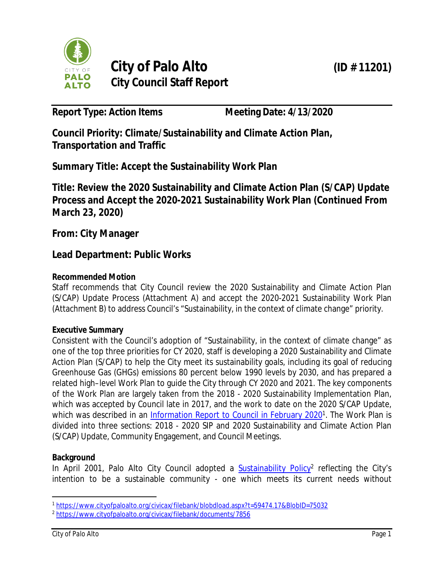

**Report Type: Action Items Meeting Date: 4/13/2020**

**Council Priority: Climate/Sustainability and Climate Action Plan, Transportation and Traffic**

**Summary Title: Accept the Sustainability Work Plan**

**Title: Review the 2020 Sustainability and Climate Action Plan (S/CAP) Update Process and Accept the 2020-2021 Sustainability Work Plan (Continued From March 23, 2020)**

**From: City Manager**

## **Lead Department: Public Works**

#### **Recommended Motion**

Staff recommends that City Council review the 2020 Sustainability and Climate Action Plan (S/CAP) Update Process (Attachment A) and accept the 2020-2021 Sustainability Work Plan (Attachment B) to address Council's "Sustainability, in the context of climate change" priority.

#### **Executive Summary**

Consistent with the Council's adoption of "Sustainability, in the context of climate change" as one of the top three priorities for CY 2020, staff is developing a 2020 Sustainability and Climate Action Plan (S/CAP) to help the City meet its sustainability goals, including its goal of reducing Greenhouse Gas (GHGs) emissions 80 percent below 1990 levels by 2030, and has prepared a related high–level Work Plan to guide the City through CY 2020 and 2021. The key components of the Work Plan are largely taken from the 2018 - 2020 Sustainability Implementation Plan, which was accepted by Council late in 2017, and the work to date on the 2020 S/CAP Update, which was described in an *Information Report to Council in February 2020*<sup>1</sup>. The Work Plan is divided into three sections: 2018 - 2020 SIP and 2020 Sustainability and Climate Action Plan (S/CAP) Update, Community Engagement, and Council Meetings.

#### **Background**

In April 2001, Palo Alto City Council adopted a **Sustainability Policy<sup>2</sup> reflecting the City's** intention to be a sustainable community - one which meets its current needs without

<sup>1</sup> https://www.cityofpaloalto.org/civicax/filebank/blobdload.aspx?t=59474.17&BlobID=75032

<sup>2</sup> https://www.cityofpaloalto.org/civicax/filebank/documents/7856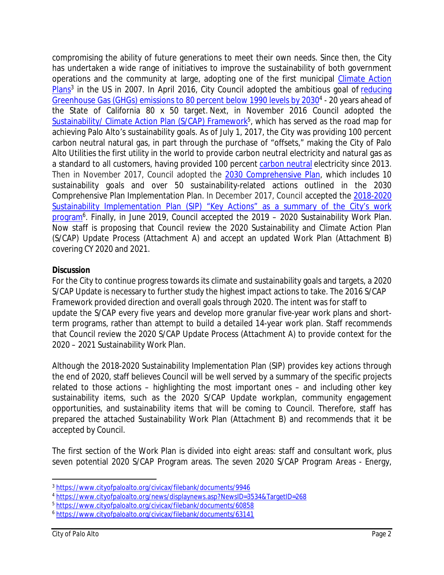compromising the ability of future generations to meet their own needs. Since then, the City has undertaken a wide range of initiatives to improve the sustainability of both government operations and the community at large, adopting one of the first municipal Climate Action Plans<sup>3</sup> in the US in 2007. In April 2016, City Council adopted the ambitious goal of reducing Greenhouse Gas (GHGs) emissions to 80 percent below 1990 levels by 2030<sup>4</sup> - 20 years ahead of the State of California 80 x 50 target. Next, in November 2016 Council adopted the Sustainability/ Climate Action Plan (S/CAP) Framework<sup>5</sup>, which has served as the road map for achieving Palo Alto's sustainability goals. As of July 1, 2017, the City was providing 100 percent carbon neutral natural gas, in part through the purchase of "offsets," making the City of Palo Alto Utilities the first utility in the world to provide carbon neutral electricity and natural gas as a standard to all customers, having provided 100 percent carbon neutral electricity since 2013. Then in November 2017, Council adopted the 2030 Comprehensive Plan, which includes 10 sustainability goals and over 50 sustainability-related actions outlined in the 2030 Comprehensive Plan Implementation Plan. In December 2017, Council accepted the 2018-2020 Sustainability Implementation Plan (SIP) "Key Actions" as a summary of the City's work program<sup>6</sup>. Finally, in June 2019, Council accepted the 2019 - 2020 Sustainability Work Plan. Now staff is proposing that Council review the 2020 Sustainability and Climate Action Plan (S/CAP) Update Process (Attachment A) and accept an updated Work Plan (Attachment B) covering CY 2020 and 2021.

#### **Discussion**

For the City to continue progress towards its climate and sustainability goals and targets, a 2020 S/CAP Update is necessary to further study the highest impact actions to take. The 2016 S/CAP Framework provided direction and overall goals through 2020. The intent was for staff to update the S/CAP every five years and develop more granular five-year work plans and shortterm programs, rather than attempt to build a detailed 14-year work plan. Staff recommends that Council review the 2020 S/CAP Update Process (Attachment A) to provide context for the 2020 – 2021 Sustainability Work Plan.

Although the 2018-2020 Sustainability Implementation Plan (SIP) provides key actions through the end of 2020, staff believes Council will be well served by a summary of the specific projects related to those actions – highlighting the most important ones – and including other key sustainability items, such as the 2020 S/CAP Update workplan, community engagement opportunities, and sustainability items that will be coming to Council. Therefore, staff has prepared the attached Sustainability Work Plan (Attachment B) and recommends that it be accepted by Council.

The first section of the Work Plan is divided into eight areas: staff and consultant work, plus seven potential 2020 S/CAP Program areas. The seven 2020 S/CAP Program Areas - Energy,

<sup>3</sup> https://www.cityofpaloalto.org/civicax/filebank/documents/9946

<sup>4</sup> https://www.cityofpaloalto.org/news/displaynews.asp?NewsID=3534&TargetID=268

<sup>5</sup> https://www.cityofpaloalto.org/civicax/filebank/documents/60858

<sup>6</sup> https://www.cityofpaloalto.org/civicax/filebank/documents/63141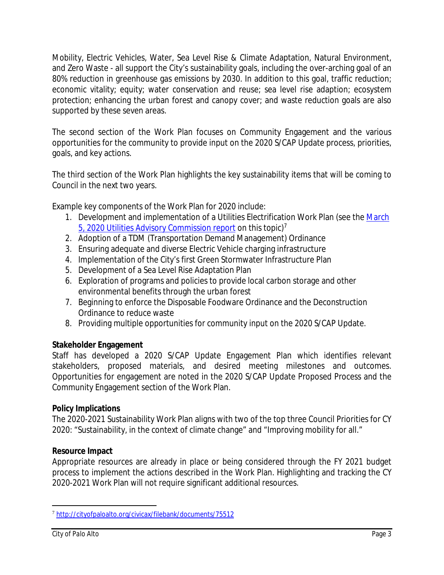Mobility, Electric Vehicles, Water, Sea Level Rise & Climate Adaptation, Natural Environment, and Zero Waste - all support the City's sustainability goals, including the over-arching goal of an 80% reduction in greenhouse gas emissions by 2030. In addition to this goal, traffic reduction; economic vitality; equity; water conservation and reuse; sea level rise adaption; ecosystem protection; enhancing the urban forest and canopy cover; and waste reduction goals are also supported by these seven areas.

The second section of the Work Plan focuses on Community Engagement and the various opportunities for the community to provide input on the 2020 S/CAP Update process, priorities, goals, and key actions.

The third section of the Work Plan highlights the key sustainability items that will be coming to Council in the next two years.

Example key components of the Work Plan for 2020 include:

- 1. Development and implementation of a Utilities Electrification Work Plan (see the March 5, 2020 Utilities Advisory Commission report on this topic)<sup>7</sup>
- 2. Adoption of a TDM (Transportation Demand Management) Ordinance
- 3. Ensuring adequate and diverse Electric Vehicle charging infrastructure
- 4. Implementation of the City's first Green Stormwater Infrastructure Plan
- 5. Development of a Sea Level Rise Adaptation Plan
- 6. Exploration of programs and policies to provide local carbon storage and other environmental benefits through the urban forest
- 7. Beginning to enforce the Disposable Foodware Ordinance and the Deconstruction Ordinance to reduce waste
- 8. Providing multiple opportunities for community input on the 2020 S/CAP Update.

#### **Stakeholder Engagement**

Staff has developed a 2020 S/CAP Update Engagement Plan which identifies relevant stakeholders, proposed materials, and desired meeting milestones and outcomes. Opportunities for engagement are noted in the 2020 S/CAP Update Proposed Process and the Community Engagement section of the Work Plan.

#### **Policy Implications**

The 2020-2021 Sustainability Work Plan aligns with two of the top three Council Priorities for CY 2020: "Sustainability, in the context of climate change" and "Improving mobility for all."

#### **Resource Impact**

Appropriate resources are already in place or being considered through the FY 2021 budget process to implement the actions described in the Work Plan. Highlighting and tracking the CY 2020-2021 Work Plan will not require significant additional resources.

<sup>7</sup> http://cityofpaloalto.org/civicax/filebank/documents/75512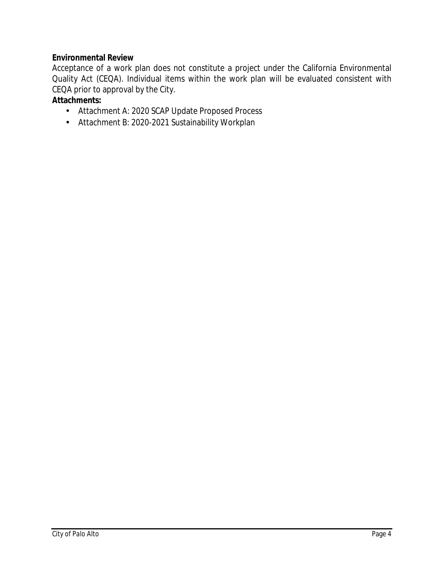#### **Environmental Review**

Acceptance of a work plan does not constitute a project under the California Environmental Quality Act (CEQA). Individual items within the work plan will be evaluated consistent with CEQA prior to approval by the City.

### **Attachments:**

- Attachment A: 2020 SCAP Update Proposed Process
- Attachment B: 2020-2021 Sustainability Workplan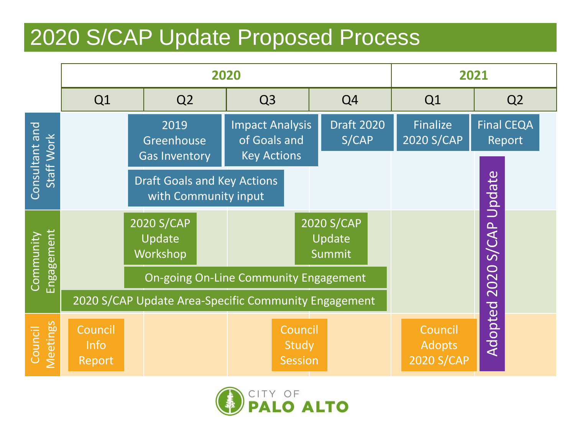# 2020 S/CAP Update Proposed Process

|                              |                                            |                                  | 2020                                                       | 2021                                                         |                                    |                                |                                               |                             |  |
|------------------------------|--------------------------------------------|----------------------------------|------------------------------------------------------------|--------------------------------------------------------------|------------------------------------|--------------------------------|-----------------------------------------------|-----------------------------|--|
|                              | Q1                                         | Q <sub>2</sub>                   |                                                            | Q <sub>3</sub>                                               |                                    | Q <sub>4</sub>                 | Q <sub>1</sub>                                | Q <sub>2</sub>              |  |
| Consultant and<br>Staff Work | 2019<br>Greenhouse<br><b>Gas Inventory</b> |                                  |                                                            | <b>Impact Analysis</b><br>of Goals and<br><b>Key Actions</b> |                                    | <b>Draft 2020</b><br>S/CAP     | Finalize<br>2020 S/CAP                        | <b>Final CEQA</b><br>Report |  |
|                              |                                            |                                  | <b>Draft Goals and Key Actions</b><br>with Community input |                                                              |                                    |                                |                                               | Update                      |  |
| Engagement<br>Community      |                                            | 2020 S/CAP<br>Update<br>Workshop |                                                            |                                                              |                                    | 2020 S/CAP<br>Update<br>Summit |                                               | S/CAP                       |  |
|                              |                                            |                                  | <b>On-going On-Line Community Engagement</b>               |                                                              |                                    | 2020                           |                                               |                             |  |
|                              |                                            |                                  | 2020 S/CAP Update Area-Specific Community Engagement       |                                                              |                                    |                                |                                               |                             |  |
| <b>Meetings</b><br>Council   | Council<br><b>Info</b><br>Report           |                                  |                                                            |                                                              | Council<br><b>Study</b><br>Session |                                | Council<br><b>Adopts</b><br><b>2020 S/CAP</b> | Adopted                     |  |